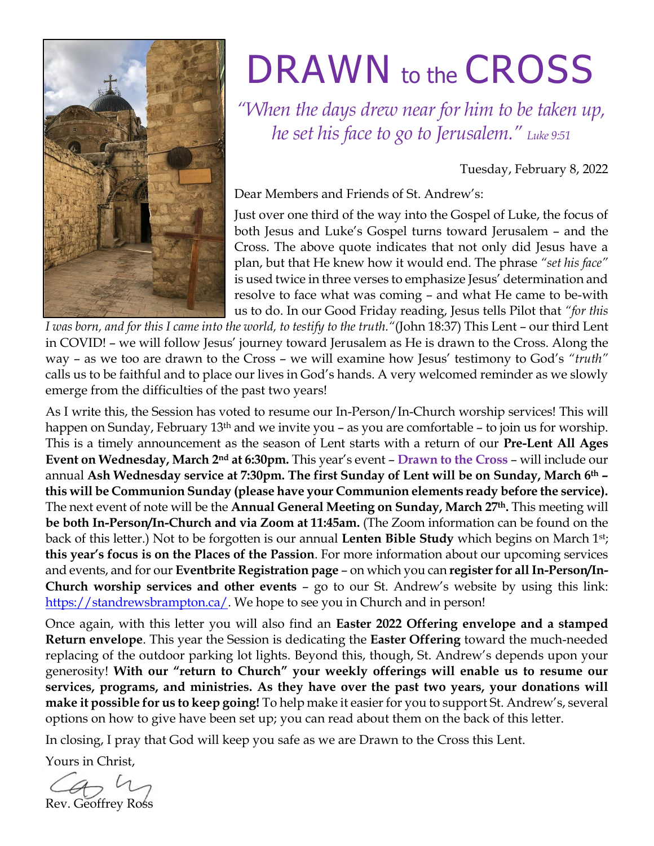

# DRAWN to the CROSS

*"When the days drew near for him to be taken up, he set his face to go to Jerusalem." Luke 9:51*

Tuesday, February 8, 2022

Dear Members and Friends of St. Andrew's:

Just over one third of the way into the Gospel of Luke, the focus of both Jesus and Luke's Gospel turns toward Jerusalem – and the Cross. The above quote indicates that not only did Jesus have a plan, but that He knew how it would end. The phrase *"set his face"* is used twice in three verses to emphasize Jesus' determination and resolve to face what was coming – and what He came to be-with us to do. In our Good Friday reading, Jesus tells Pilot that *"for this* 

*I was born, and for this I came into the world, to testify to the truth."*(John 18:37) This Lent – our third Lent in COVID! – we will follow Jesus' journey toward Jerusalem as He is drawn to the Cross. Along the way – as we too are drawn to the Cross – we will examine how Jesus' testimony to God's *"truth"* calls us to be faithful and to place our lives in God's hands. A very welcomed reminder as we slowly emerge from the difficulties of the past two years!

As I write this, the Session has voted to resume our In-Person/In-Church worship services! This will happen on Sunday, February 13<sup>th</sup> and we invite you – as you are comfortable – to join us for worship. This is a timely announcement as the season of Lent starts with a return of our **Pre-Lent All Ages Event on Wednesday, March 2nd at 6:30pm.** This year's event – **Drawn to the Cross** – will include our annual **Ash Wednesday service at 7:30pm. The first Sunday of Lent will be on Sunday, March 6th – this will be Communion Sunday (please have your Communion elements ready before the service).**  The next event of note will be the **Annual General Meeting on Sunday, March 27th.** This meeting will **be both In-Person/In-Church and via Zoom at 11:45am.** (The Zoom information can be found on the back of this letter.) Not to be forgotten is our annual **Lenten Bible Study** which begins on March 1st; **this year's focus is on the Places of the Passion**. For more information about our upcoming services and events, and for our **Eventbrite Registration page** – on which you can **register for all In-Person/In-Church worship services and other events** – go to our St. Andrew's website by using this link: [https://standrewsbrampton.ca/.](https://standrewsbrampton.ca/) We hope to see you in Church and in person!

Once again, with this letter you will also find an **Easter 2022 Offering envelope and a stamped Return envelope**. This year the Session is dedicating the **Easter Offering** toward the much-needed replacing of the outdoor parking lot lights. Beyond this, though, St. Andrew's depends upon your generosity! **With our "return to Church" your weekly offerings will enable us to resume our services, programs, and ministries. As they have over the past two years, your donations will make it possible for us to keep going!** To help make it easier for you to support St. Andrew's, several options on how to give have been set up; you can read about them on the back of this letter.

In closing, I pray that God will keep you safe as we are Drawn to the Cross this Lent.

Yours in Christ,

Rev. Geoffrey Ross